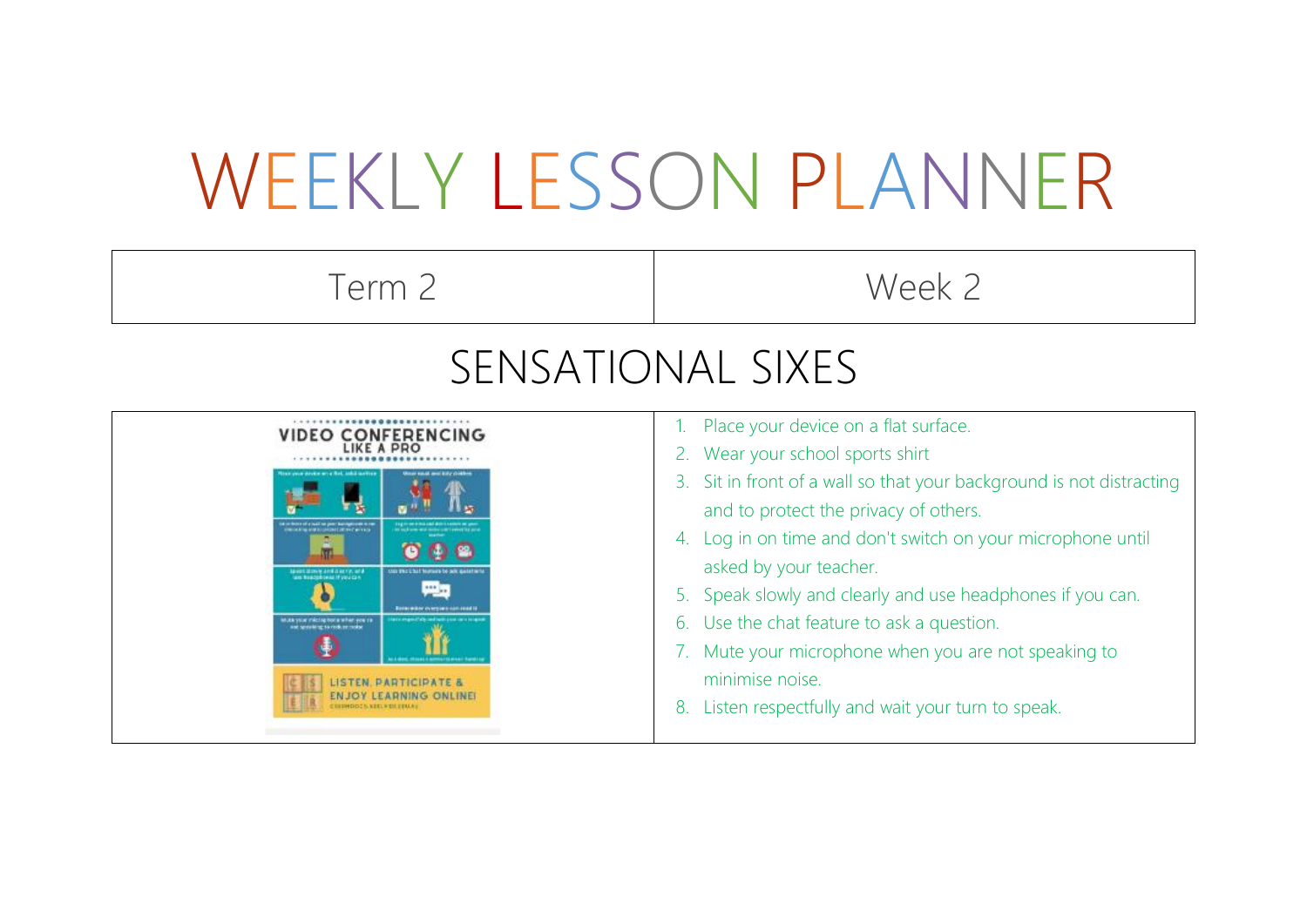## WEEKLY LESSON PLANNER

Term 2 Week 2

## SENSATIONAL SIXES

| <b>VIDEO CONFERENCING</b>                                                                                                                                                                                                                                                                                                                                                                                                                                                                                                                                                                                  | Place your device on a flat surface.                                                                                                                                                                                                                                                                                                                                                                                                                 |
|------------------------------------------------------------------------------------------------------------------------------------------------------------------------------------------------------------------------------------------------------------------------------------------------------------------------------------------------------------------------------------------------------------------------------------------------------------------------------------------------------------------------------------------------------------------------------------------------------------|------------------------------------------------------------------------------------------------------------------------------------------------------------------------------------------------------------------------------------------------------------------------------------------------------------------------------------------------------------------------------------------------------------------------------------------------------|
| LIKE A PRO                                                                                                                                                                                                                                                                                                                                                                                                                                                                                                                                                                                                 | 2. Wear your school sports shirt                                                                                                                                                                                                                                                                                                                                                                                                                     |
| in your development and additionally<br><b>Room sould, asset hidy shouldness</b><br>all no paer bandydroom in to<br><b>CHARLES AND ALCOHOL: IN THE WITH THE</b><br>m<br>Applied coloning and clear typ, and<br><b>AGE SHE E BLE BOSINES TO MIX GASEEM</b><br>lass beachtered if you can<br>興司<br><b>Revise wither curry parts such a staff to</b><br>a company faith and such a consumer company<br>Muka your microphone when you re<br>and spreadeling to visibility incided<br>a Libert Moods Explorated Angel Super<br>LISTEN, PARTICIPATE &<br><b>ENJOY LEARNING ONLINEI</b><br>CEEDHOCS VELY DI EBULY | 3. Sit in front of a wall so that your background is not distracting<br>and to protect the privacy of others.<br>4. Log in on time and don't switch on your microphone until<br>asked by your teacher.<br>5. Speak slowly and clearly and use headphones if you can.<br>6. Use the chat feature to ask a question.<br>Mute your microphone when you are not speaking to<br>minimise noise.<br>Listen respectfully and wait your turn to speak.<br>8. |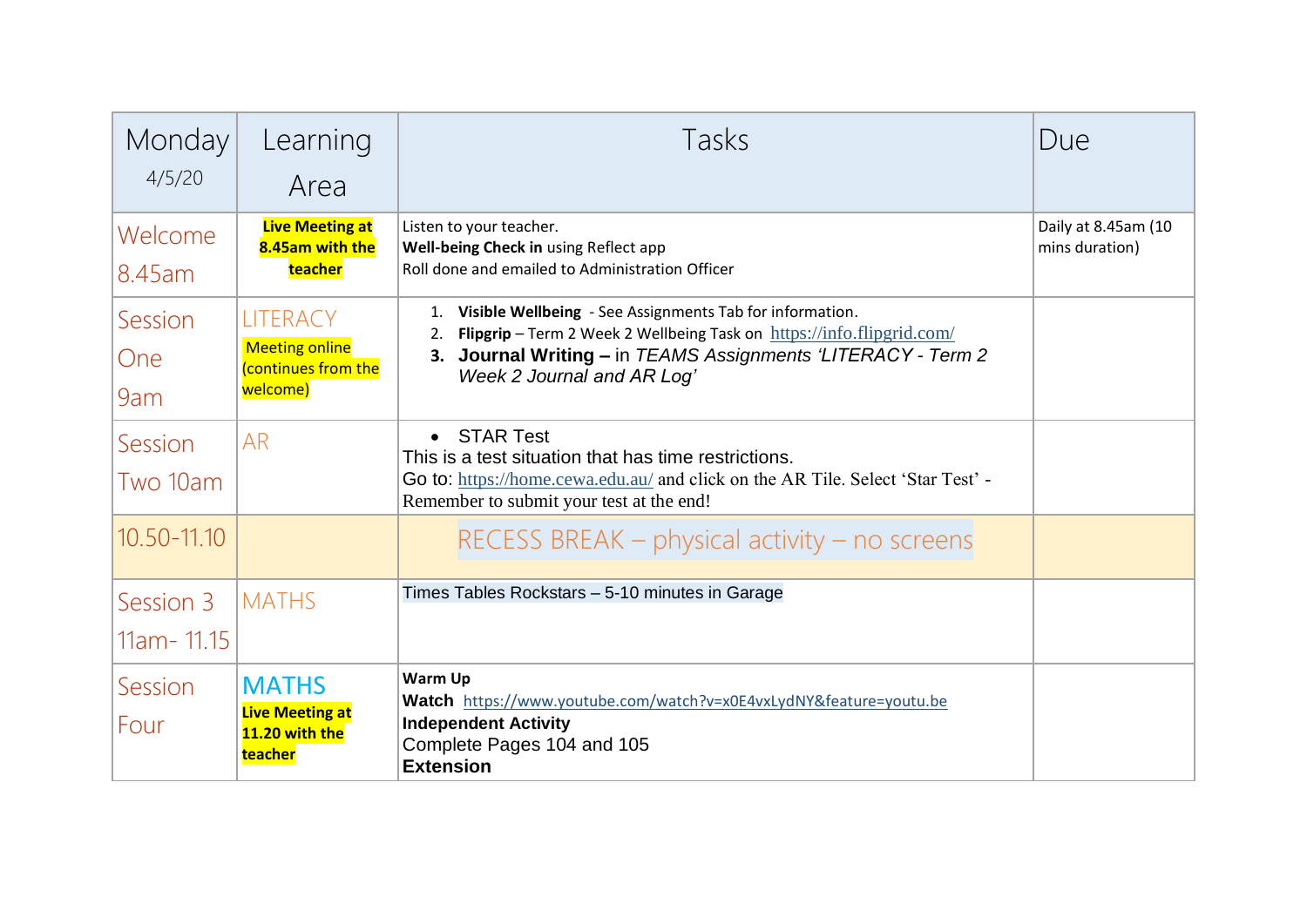| Monday<br>4/5/20             | Learning<br>Area                                                            | Tasks                                                                                                                                                                                                                                       | Due                                   |
|------------------------------|-----------------------------------------------------------------------------|---------------------------------------------------------------------------------------------------------------------------------------------------------------------------------------------------------------------------------------------|---------------------------------------|
| Welcome<br>8.45am            | <b>Live Meeting at</b><br>8.45am with the<br>teacher                        | Listen to your teacher.<br>Well-being Check in using Reflect app<br>Roll done and emailed to Administration Officer                                                                                                                         | Daily at 8.45am (10<br>mins duration) |
| Session<br><b>One</b><br>9am | <b>LITERACY</b><br><b>Meeting online</b><br>(continues from the<br>welcome) | Visible Wellbeing - See Assignments Tab for information.<br>1.<br>Flipgrip - Term 2 Week 2 Wellbeing Task on https://info.flipgrid.com/<br>2.<br>3. Journal Writing - in TEAMS Assignments 'LITERACY - Term 2<br>Week 2 Journal and AR Log' |                                       |
| Session<br>Two 10am          | <b>AR</b>                                                                   | • STAR Test<br>This is a test situation that has time restrictions.<br>Go to: https://home.cewa.edu.au/ and click on the AR Tile. Select 'Star Test' -<br>Remember to submit your test at the end!                                          |                                       |
| 10.50-11.10                  |                                                                             | RECESS BREAK $-$ physical activity $-$ no screens                                                                                                                                                                                           |                                       |
| Session 3<br>11am - 11.15    | <b>MATHS</b>                                                                | Times Tables Rockstars - 5-10 minutes in Garage                                                                                                                                                                                             |                                       |
| Session<br>Four              | <b>MATHS</b><br><b>Live Meeting at</b><br>11.20 with the<br>teacher         | <b>Warm Up</b><br>Watch https://www.youtube.com/watch?v=x0E4vxLydNY&feature=youtu.be<br><b>Independent Activity</b><br>Complete Pages 104 and 105<br><b>Extension</b>                                                                       |                                       |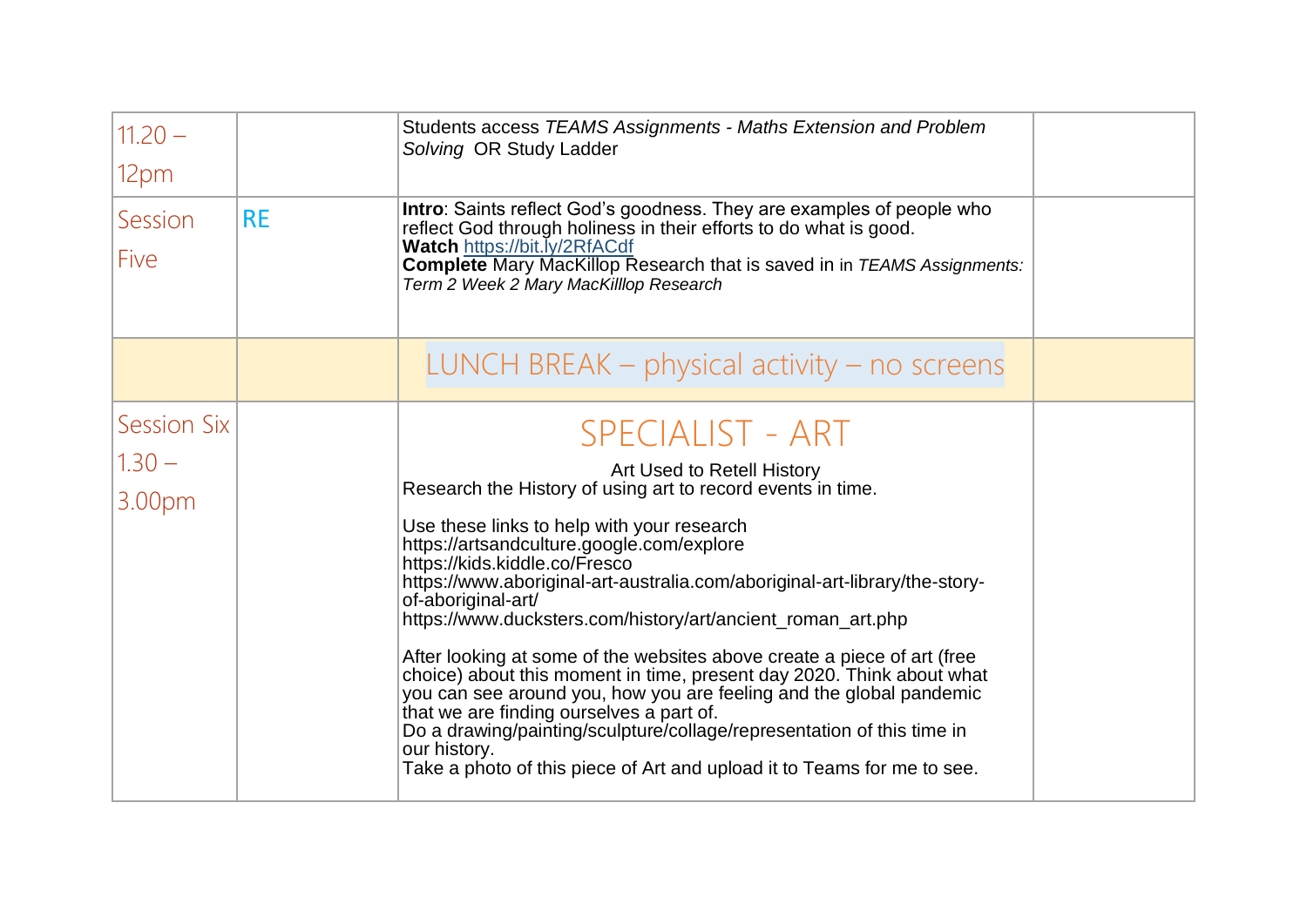| $11.20 -$<br>12pm                        |           | Students access TEAMS Assignments - Maths Extension and Problem<br>Solving OR Study Ladder                                                                                                                                                                                                                                                                                                                                                                                                                                                                                                                                                                                                                                                                                                                                                                      |  |
|------------------------------------------|-----------|-----------------------------------------------------------------------------------------------------------------------------------------------------------------------------------------------------------------------------------------------------------------------------------------------------------------------------------------------------------------------------------------------------------------------------------------------------------------------------------------------------------------------------------------------------------------------------------------------------------------------------------------------------------------------------------------------------------------------------------------------------------------------------------------------------------------------------------------------------------------|--|
| Session<br>Five                          | <b>RE</b> | <b>Intro:</b> Saints reflect God's goodness. They are examples of people who<br>reflect God through holiness in their efforts to do what is good.<br><b>Watch https://bit.ly/2RfACdf</b><br><b>Complete</b> Mary MacKillop Research that is saved in in TEAMS Assignments:<br>Term 2 Week 2 Mary MacKilllop Research                                                                                                                                                                                                                                                                                                                                                                                                                                                                                                                                            |  |
|                                          |           | LUNCH BREAK $-$ physical activity $-$ no screens                                                                                                                                                                                                                                                                                                                                                                                                                                                                                                                                                                                                                                                                                                                                                                                                                |  |
| <b>Session Six</b><br>$1.30 -$<br>3.00pm |           | <b>SPECIALIST - ART</b><br>Art Used to Retell History<br>Research the History of using art to record events in time.<br>Use these links to help with your research<br>https://artsandculture.google.com/explore<br>https://kids.kiddle.co/Fresco<br>https://www.aboriginal-art-australia.com/aboriginal-art-library/the-story-<br>of-aboriginal-art/<br>https://www.ducksters.com/history/art/ancient_roman_art.php<br>After looking at some of the websites above create a piece of art (free<br>choice) about this moment in time, present day 2020. Think about what<br>you can see around you, how you are feeling and the global pandemic<br>that we are finding ourselves a part of.<br>Do a drawing/painting/sculpture/collage/representation of this time in<br>our history.<br>Take a photo of this piece of Art and upload it to Teams for me to see. |  |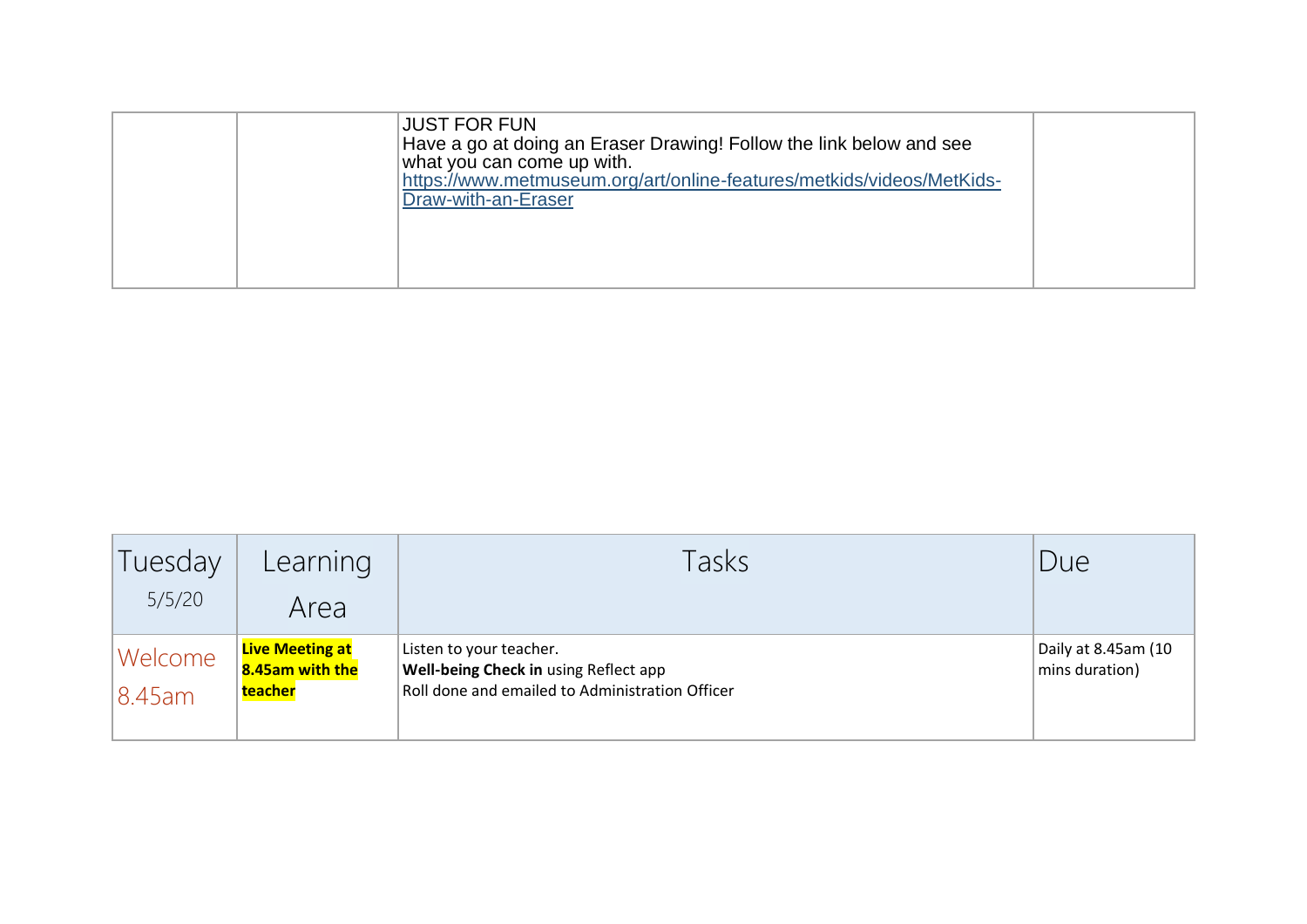| Draw-with-an-Eraser |  | <b>JUST FOR FUN</b><br>Have a go at doing an Eraser Drawing! Follow the link below and see<br>what you can come up with.<br>https://www.metmuseum.org/art/online-features/metkids/videos/MetKids- |  |
|---------------------|--|---------------------------------------------------------------------------------------------------------------------------------------------------------------------------------------------------|--|
|---------------------|--|---------------------------------------------------------------------------------------------------------------------------------------------------------------------------------------------------|--|

| Tuesday           | Learning                                             | Tasks                                                                                                               | Due                                   |
|-------------------|------------------------------------------------------|---------------------------------------------------------------------------------------------------------------------|---------------------------------------|
| 5/5/20            | Area                                                 |                                                                                                                     |                                       |
| Welcome<br>8.45am | <b>Live Meeting at</b><br>8.45am with the<br>teacher | Listen to your teacher.<br>Well-being Check in using Reflect app<br>Roll done and emailed to Administration Officer | Daily at 8.45am (10<br>mins duration) |
|                   |                                                      |                                                                                                                     |                                       |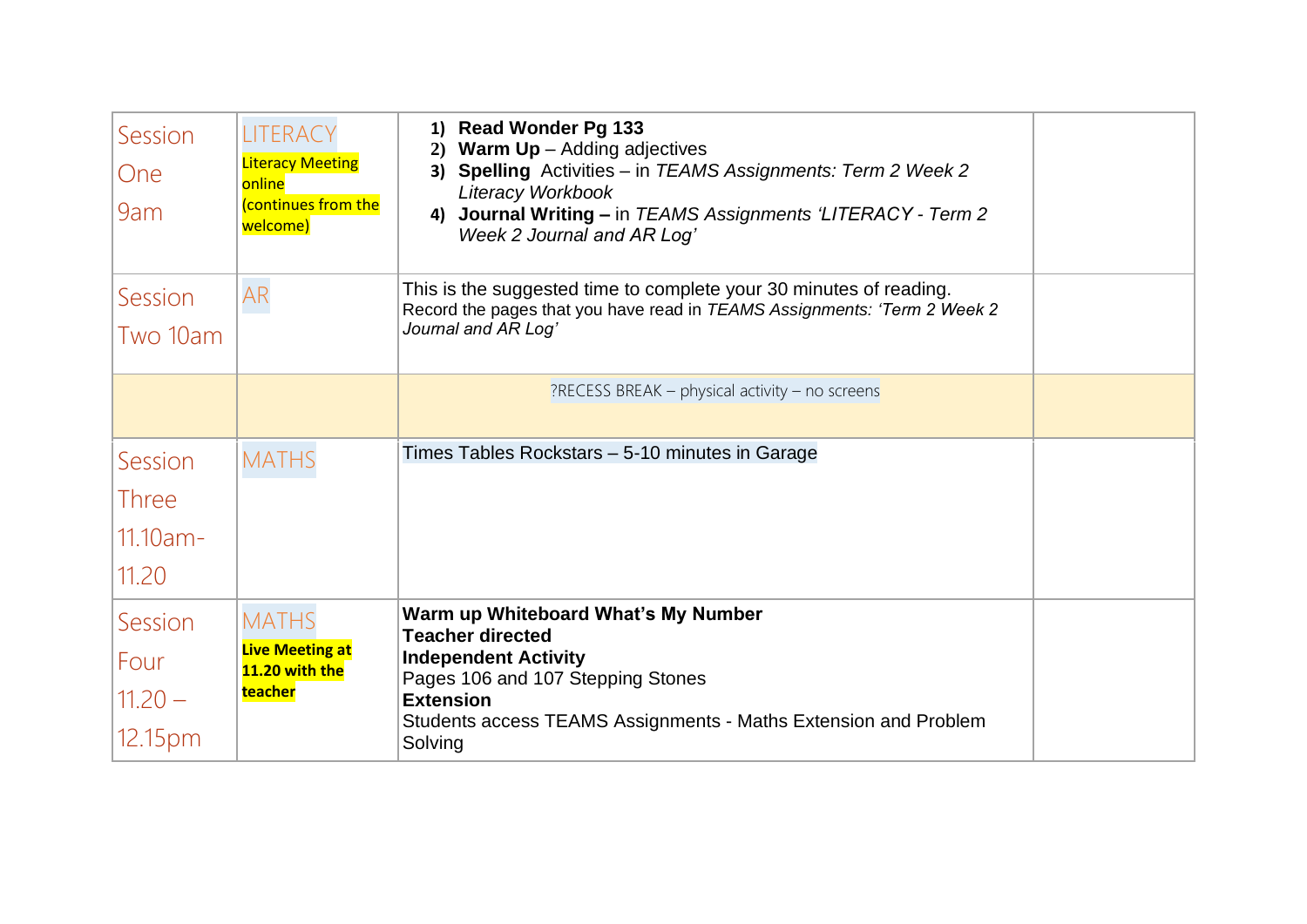| Session<br>One<br>9am                           | LITERACY<br><b>Literacy Meeting</b><br>online<br>continues from the<br>welcome) | 1) Read Wonder Pg 133<br><b>Warm Up</b> $-$ Adding adjectives<br>2)<br><b>Spelling</b> Activities - in TEAMS Assignments: Term 2 Week 2<br>3)<br>Literacy Workbook<br>4) Journal Writing - in TEAMS Assignments 'LITERACY - Term 2<br>Week 2 Journal and AR Log' |  |
|-------------------------------------------------|---------------------------------------------------------------------------------|------------------------------------------------------------------------------------------------------------------------------------------------------------------------------------------------------------------------------------------------------------------|--|
| Session<br>Two 10am                             | AR                                                                              | This is the suggested time to complete your 30 minutes of reading.<br>Record the pages that you have read in TEAMS Assignments: 'Term 2 Week 2<br>Journal and AR Log'                                                                                            |  |
|                                                 |                                                                                 | $?$ RECESS BREAK – physical activity – no screens                                                                                                                                                                                                                |  |
| Session<br><b>Three</b><br>$11.10am -$<br>11.20 | <b>MATHS</b>                                                                    | Times Tables Rockstars - 5-10 minutes in Garage                                                                                                                                                                                                                  |  |
| Session<br>Four<br>$11.20 -$<br>12.15pm         | <b>MATHS</b><br><b>Live Meeting at</b><br>11.20 with the<br><b>teacher</b>      | Warm up Whiteboard What's My Number<br><b>Teacher directed</b><br><b>Independent Activity</b><br>Pages 106 and 107 Stepping Stones<br><b>Extension</b><br>Students access TEAMS Assignments - Maths Extension and Problem<br>Solving                             |  |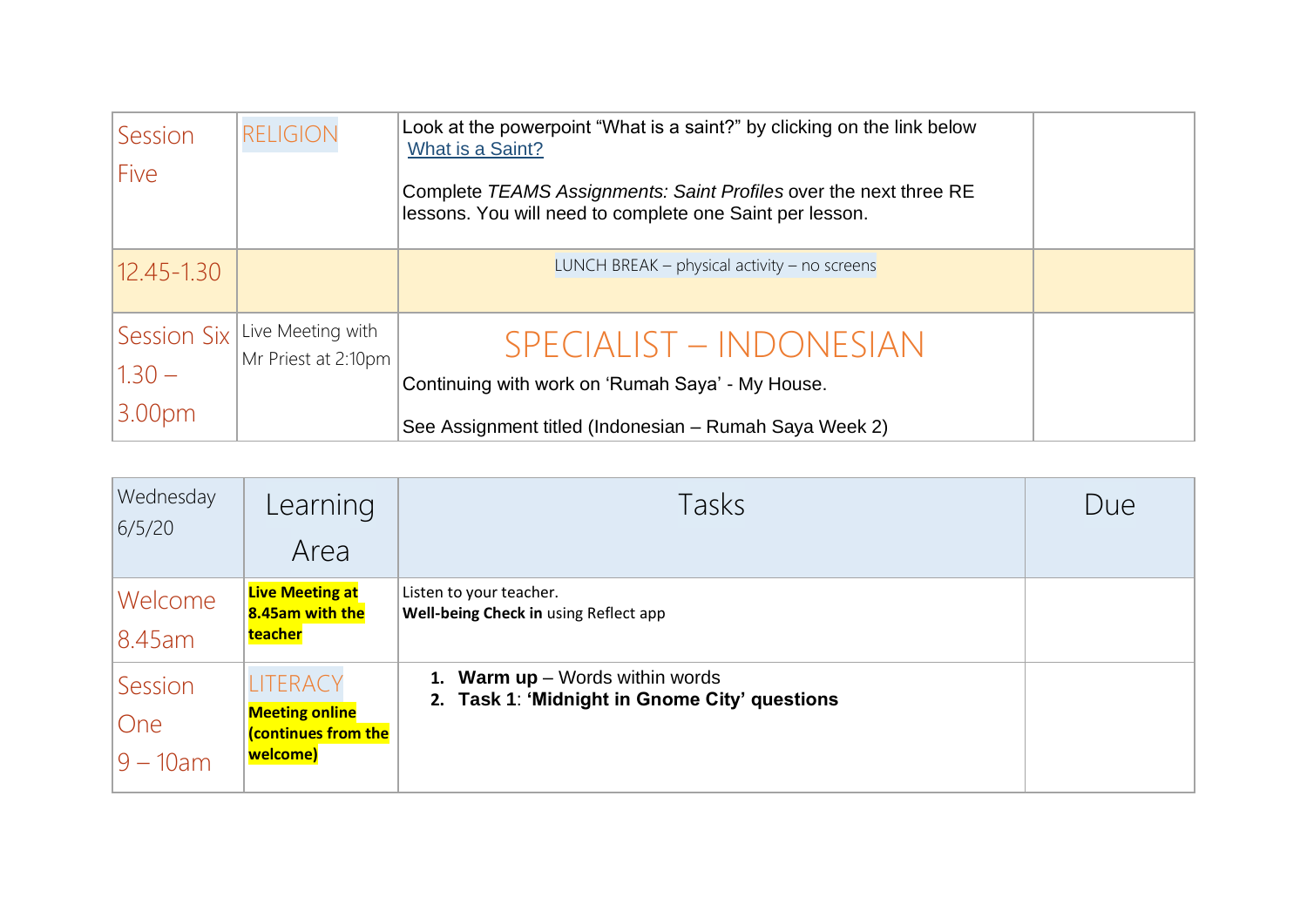| <b>Session</b><br>Five                        | <b>RELIGION</b>                          | Look at the powerpoint "What is a saint?" by clicking on the link below<br>What is a Saint?<br>Complete TEAMS Assignments: Saint Profiles over the next three RE<br>lessons. You will need to complete one Saint per lesson. |  |
|-----------------------------------------------|------------------------------------------|------------------------------------------------------------------------------------------------------------------------------------------------------------------------------------------------------------------------------|--|
| $12.45 - 1.30$                                |                                          | LUNCH BREAK – physical activity – no screens                                                                                                                                                                                 |  |
| Session Six<br>$1.30 -$<br>3.00 <sub>pm</sub> | Live Meeting with<br>Mr Priest at 2:10pm | SPECIALIST - INDONESIAN<br>Continuing with work on 'Rumah Saya' - My House.<br>See Assignment titled (Indonesian – Rumah Saya Week 2)                                                                                        |  |

| Wednesday<br>6/5/20           | Learning<br>Area                                                            | Tasks                                                                              | Due |
|-------------------------------|-----------------------------------------------------------------------------|------------------------------------------------------------------------------------|-----|
| Welcome<br>8.45am             | <b>Live Meeting at</b><br>8.45am with the<br>teacher                        | Listen to your teacher.<br>Well-being Check in using Reflect app                   |     |
| Session<br>One<br>$9 - 10$ am | LITERACY<br><b>Meeting online</b><br><b>(continues from the</b><br>welcome) | 1. Warm $up$ – Words within words<br>2. Task 1: 'Midnight in Gnome City' questions |     |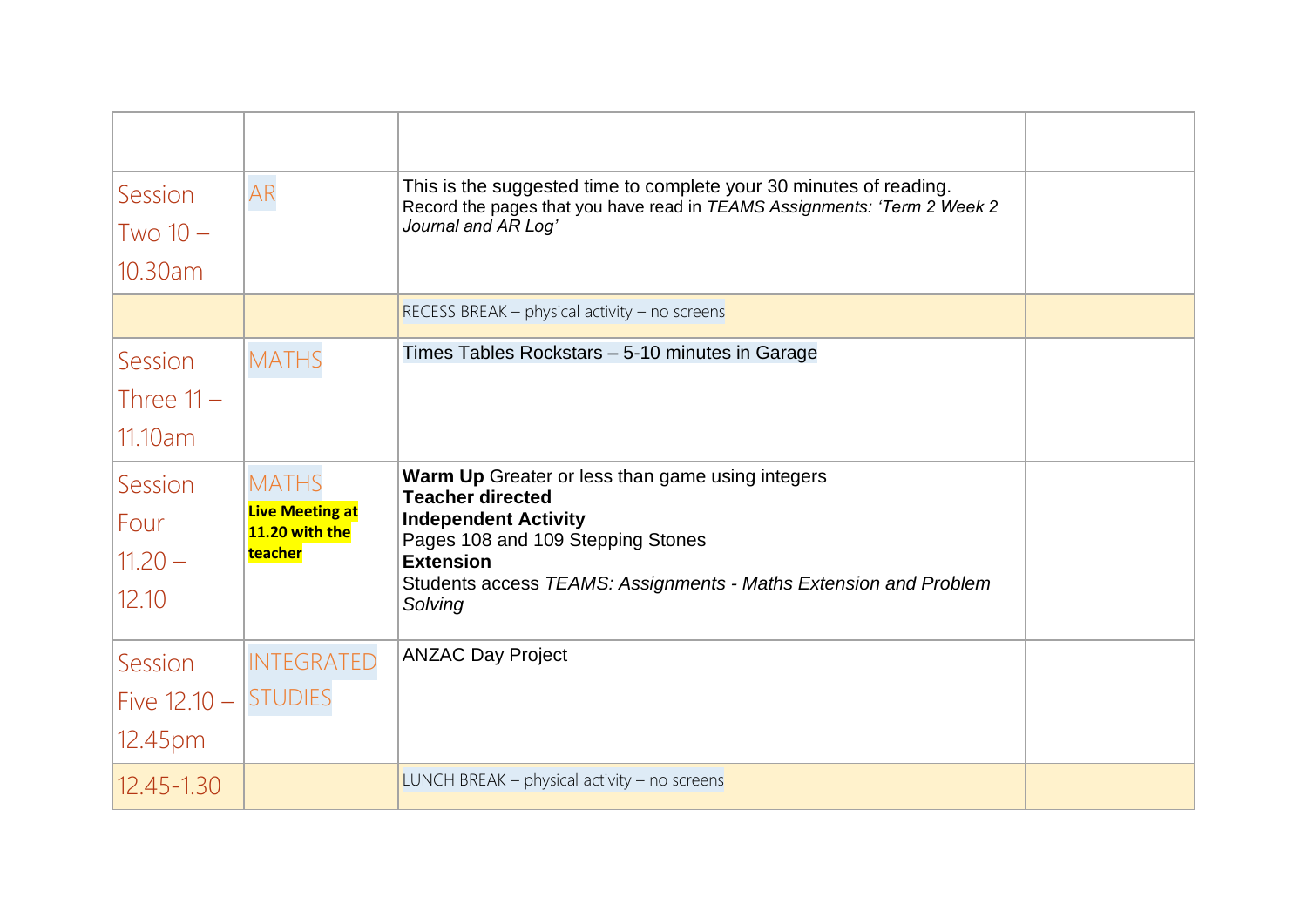| Session                  | AR                                       | This is the suggested time to complete your 30 minutes of reading.<br>Record the pages that you have read in TEAMS Assignments: 'Term 2 Week 2<br>Journal and AR Log' |  |
|--------------------------|------------------------------------------|-----------------------------------------------------------------------------------------------------------------------------------------------------------------------|--|
| $Two10-$                 |                                          |                                                                                                                                                                       |  |
| 10.30am                  |                                          |                                                                                                                                                                       |  |
|                          |                                          | RECESS BREAK - physical activity - no screens                                                                                                                         |  |
| Session                  | <b>MATHS</b>                             | Times Tables Rockstars - 5-10 minutes in Garage                                                                                                                       |  |
| Three $11 -$             |                                          |                                                                                                                                                                       |  |
| 11.10am                  |                                          |                                                                                                                                                                       |  |
| Session                  | <b>MATHS</b>                             | Warm Up Greater or less than game using integers<br><b>Teacher directed</b>                                                                                           |  |
| Four                     | <b>Live Meeting at</b><br>11.20 with the | <b>Independent Activity</b><br>Pages 108 and 109 Stepping Stones                                                                                                      |  |
| $11.20 -$                | teacher                                  | <b>Extension</b>                                                                                                                                                      |  |
| 12.10                    |                                          | Students access TEAMS: Assignments - Maths Extension and Problem<br>Solving                                                                                           |  |
| Session                  | <b>INTEGRATED</b>                        | <b>ANZAC Day Project</b>                                                                                                                                              |  |
| Five $12.10 -  STUDIES $ |                                          |                                                                                                                                                                       |  |
| 12.45pm                  |                                          |                                                                                                                                                                       |  |
| $12.45 - 1.30$           |                                          | LUNCH BREAK $-$ physical activity $-$ no screens                                                                                                                      |  |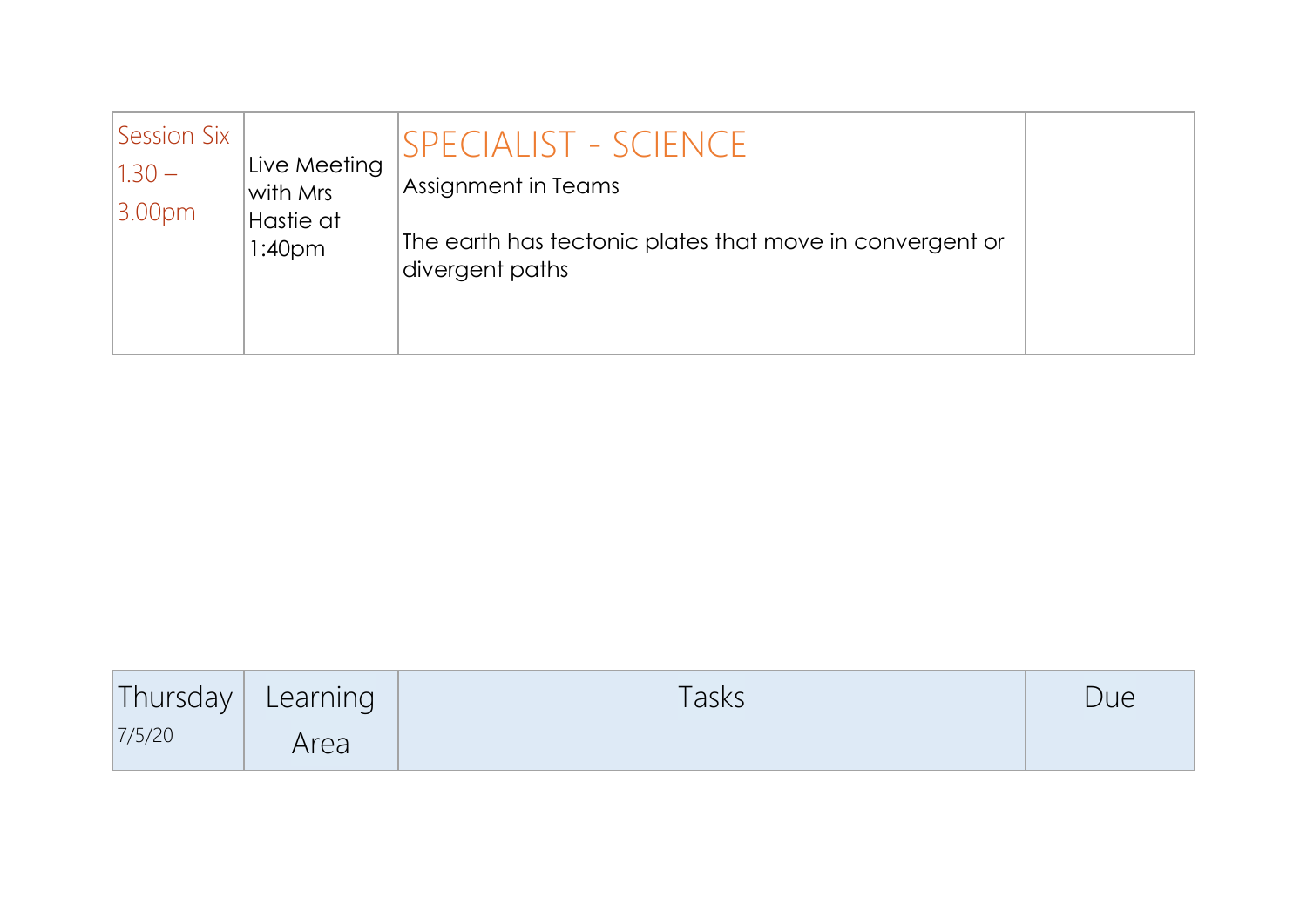| Session Six<br>$1.30 -$<br>3.00 <sub>pm</sub> | Live Meeting<br>with Mrs<br>Hastie at<br>1:40 <sub>pm</sub> | SPECIALIST - SCIENCE<br>Assignment in Teams<br>The earth has tectonic plates that move in convergent or<br>divergent paths |  |
|-----------------------------------------------|-------------------------------------------------------------|----------------------------------------------------------------------------------------------------------------------------|--|
|                                               |                                                             |                                                                                                                            |  |

| Thursday | Learning | <b>Tasks</b> | Due |
|----------|----------|--------------|-----|
| 7/5/20   | Area     |              |     |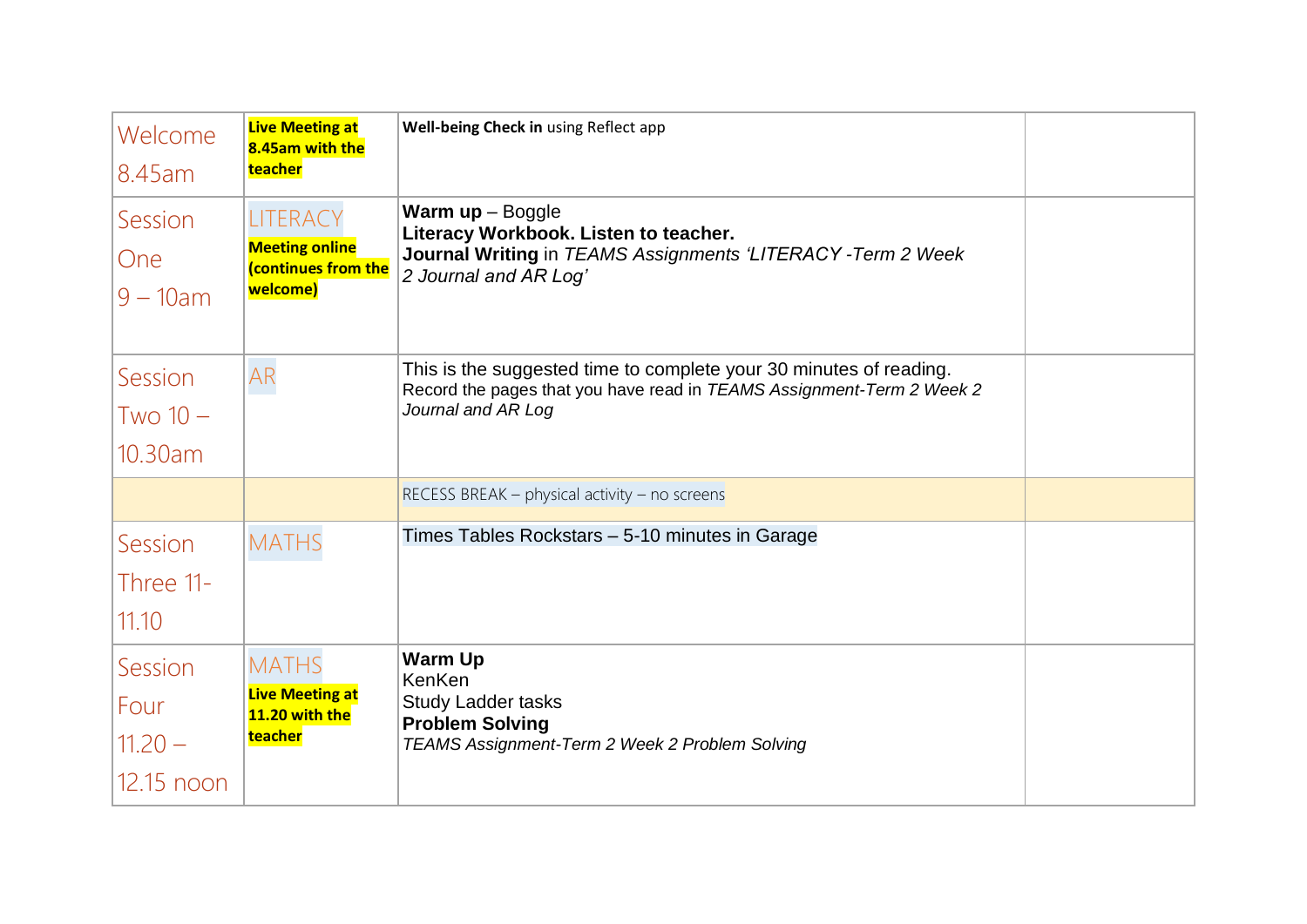| Welcome                                        | <b>Live Meeting at</b><br>8.45am with the<br>teacher                               | Well-being Check in using Reflect app                                                                                                                             |  |
|------------------------------------------------|------------------------------------------------------------------------------------|-------------------------------------------------------------------------------------------------------------------------------------------------------------------|--|
| 8.45am<br>Session<br><b>One</b><br>$9 - 10$ am | <b>LITERACY</b><br><b>Meeting online</b><br><b>(continues from the</b><br>welcome) | <b>Warm up</b> $-$ Boggle<br>Literacy Workbook. Listen to teacher.<br>Journal Writing in TEAMS Assignments 'LITERACY - Term 2 Week<br>2 Journal and AR Log'       |  |
| Session<br>$Two10-$<br>10.30am                 | AR                                                                                 | This is the suggested time to complete your 30 minutes of reading.<br>Record the pages that you have read in TEAMS Assignment-Term 2 Week 2<br>Journal and AR Log |  |
|                                                |                                                                                    | RECESS BREAK - physical activity - no screens                                                                                                                     |  |
| Session<br>Three 11-<br>11.10                  | <b>MATHS</b>                                                                       | Times Tables Rockstars - 5-10 minutes in Garage                                                                                                                   |  |
| Session<br>Four<br>$11.20 -$<br>12.15 noon     | <b>MATHS</b><br><b>Live Meeting at</b><br>11.20 with the<br>teacher                | <b>Warm Up</b><br>KenKen<br><b>Study Ladder tasks</b><br><b>Problem Solving</b><br>TEAMS Assignment-Term 2 Week 2 Problem Solving                                 |  |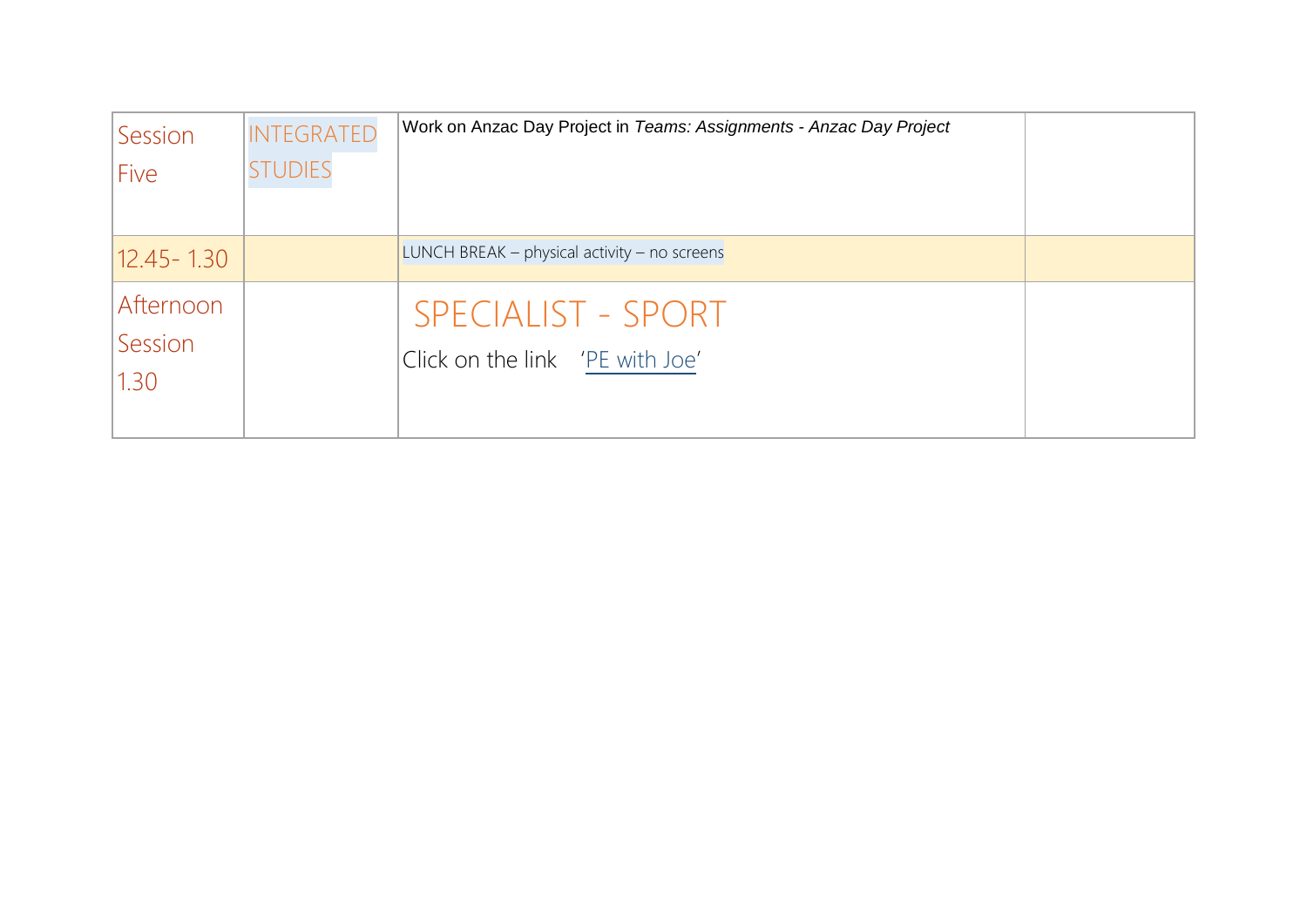| Session        | <b>INTEGRATED</b> | Work on Anzac Day Project in Teams: Assignments - Anzac Day Project |  |
|----------------|-------------------|---------------------------------------------------------------------|--|
| Five           | <b>STUDIES</b>    |                                                                     |  |
|                |                   |                                                                     |  |
| $12.45 - 1.30$ |                   | LUNCH BREAK – physical activity – no screens                        |  |
| Afternoon      |                   | <b>SPECIALIST - SPORT</b>                                           |  |
| Session        |                   | Click on the link 'PE with Joe'                                     |  |
| 1.30           |                   |                                                                     |  |
|                |                   |                                                                     |  |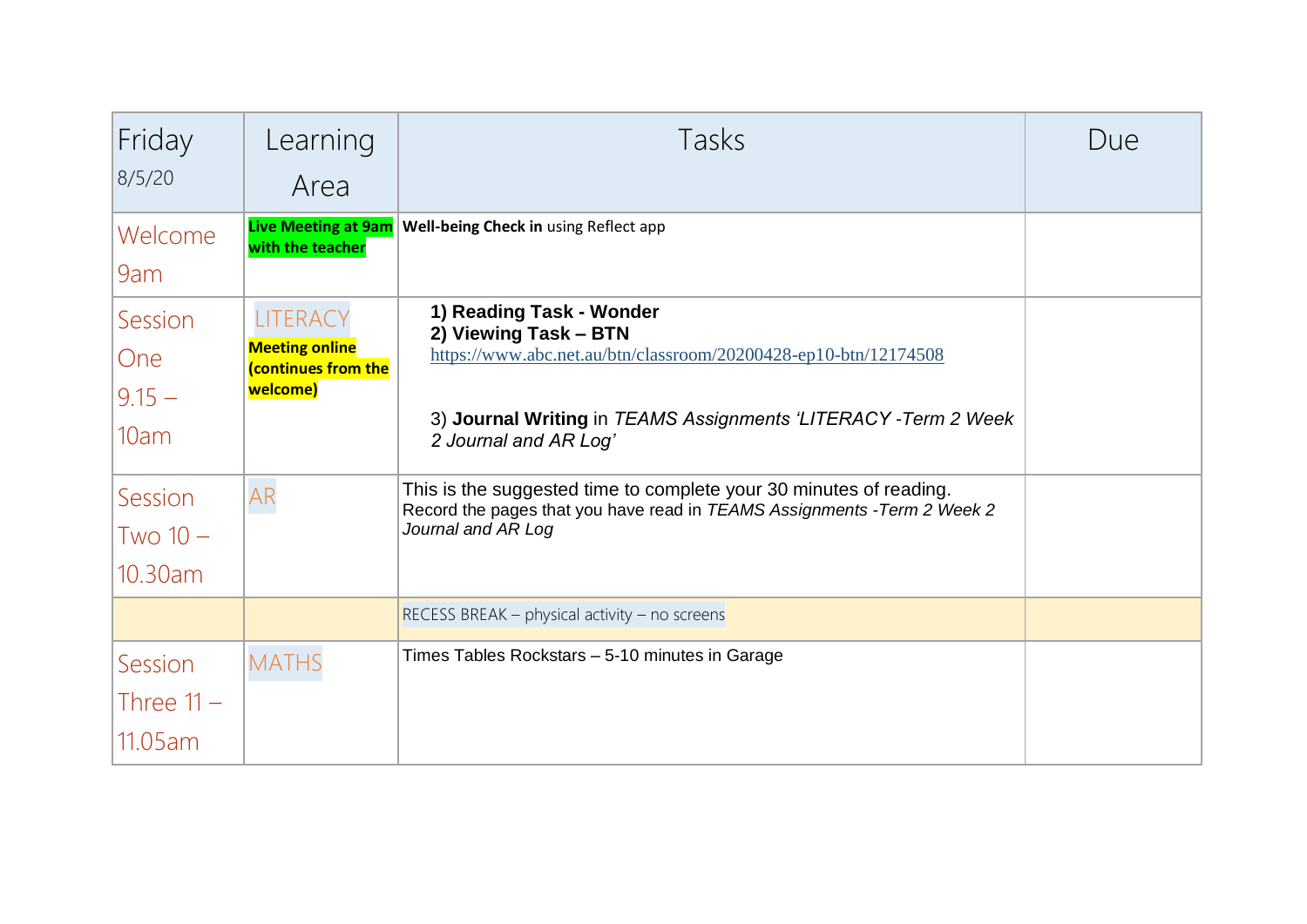| Friday<br>8/5/20                          | Learning<br>Area                                                     | Tasks                                                                                                                                                                                                            | Due |
|-------------------------------------------|----------------------------------------------------------------------|------------------------------------------------------------------------------------------------------------------------------------------------------------------------------------------------------------------|-----|
| Welcome<br>9am                            | with the teacher                                                     | <b>Live Meeting at 9am Well-being Check in using Reflect app</b>                                                                                                                                                 |     |
| Session<br><b>One</b><br>$9.15 -$<br>10am | LITERACY<br><b>Meeting online</b><br>(continues from the<br>welcome) | 1) Reading Task - Wonder<br>2) Viewing Task - BTN<br>https://www.abc.net.au/btn/classroom/20200428-ep10-btn/12174508<br>3) Journal Writing in TEAMS Assignments 'LITERACY - Term 2 Week<br>2 Journal and AR Log' |     |
| Session<br>$Two10-$<br>10.30am            | <b>AR</b>                                                            | This is the suggested time to complete your 30 minutes of reading.<br>Record the pages that you have read in TEAMS Assignments - Term 2 Week 2<br>Journal and AR Log                                             |     |
|                                           |                                                                      | RECESS BREAK - physical activity - no screens                                                                                                                                                                    |     |
| Session<br>Three $11 -$<br>11.05 am       | <b>MATHS</b>                                                         | Times Tables Rockstars - 5-10 minutes in Garage                                                                                                                                                                  |     |